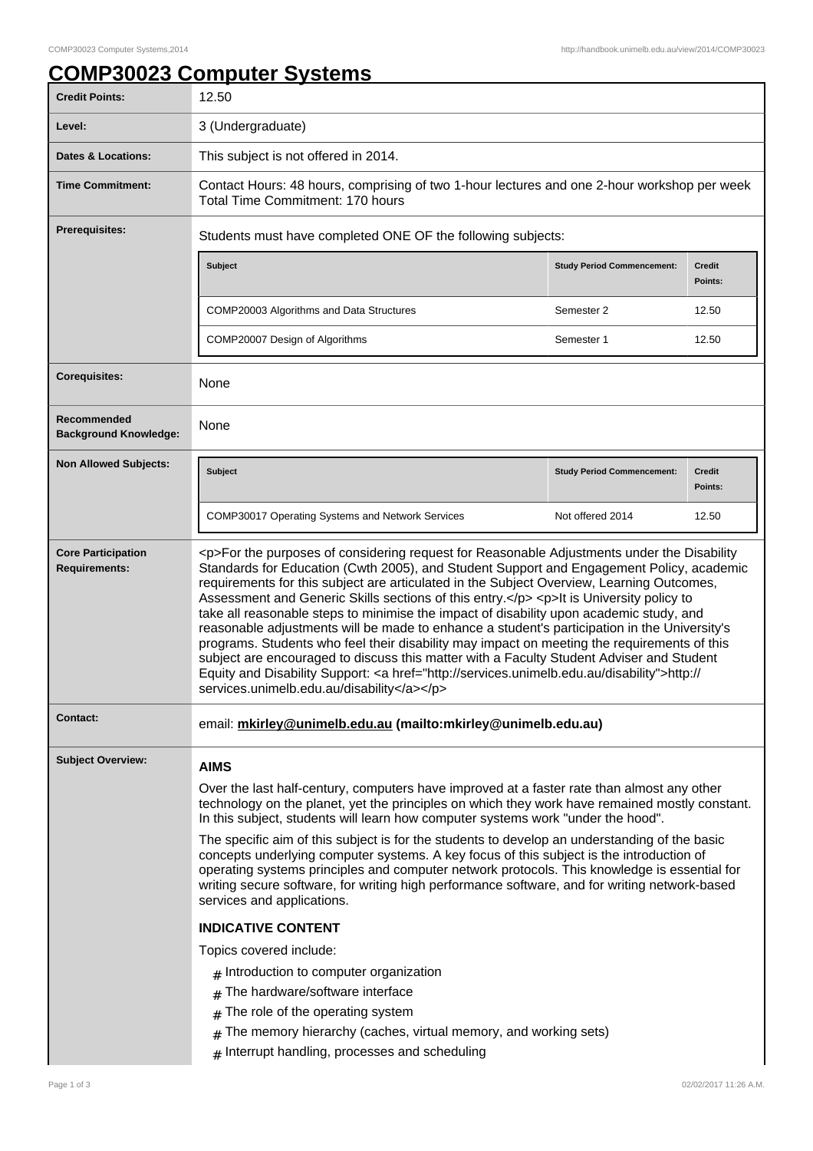## **COMP30023 Computer Systems**

| <b>Credit Points:</b>                             | 12.50                                                                                                                                                                                                                                                                                                                                                                                                                                                                                                                                                                                                                                                                                                                                                                                                                                                                                                                                                                                                                                      |                                   |                          |
|---------------------------------------------------|--------------------------------------------------------------------------------------------------------------------------------------------------------------------------------------------------------------------------------------------------------------------------------------------------------------------------------------------------------------------------------------------------------------------------------------------------------------------------------------------------------------------------------------------------------------------------------------------------------------------------------------------------------------------------------------------------------------------------------------------------------------------------------------------------------------------------------------------------------------------------------------------------------------------------------------------------------------------------------------------------------------------------------------------|-----------------------------------|--------------------------|
| Level:                                            | 3 (Undergraduate)                                                                                                                                                                                                                                                                                                                                                                                                                                                                                                                                                                                                                                                                                                                                                                                                                                                                                                                                                                                                                          |                                   |                          |
| <b>Dates &amp; Locations:</b>                     | This subject is not offered in 2014.                                                                                                                                                                                                                                                                                                                                                                                                                                                                                                                                                                                                                                                                                                                                                                                                                                                                                                                                                                                                       |                                   |                          |
| <b>Time Commitment:</b>                           | Contact Hours: 48 hours, comprising of two 1-hour lectures and one 2-hour workshop per week<br>Total Time Commitment: 170 hours                                                                                                                                                                                                                                                                                                                                                                                                                                                                                                                                                                                                                                                                                                                                                                                                                                                                                                            |                                   |                          |
| Prerequisites:                                    | Students must have completed ONE OF the following subjects:                                                                                                                                                                                                                                                                                                                                                                                                                                                                                                                                                                                                                                                                                                                                                                                                                                                                                                                                                                                |                                   |                          |
|                                                   | <b>Subject</b>                                                                                                                                                                                                                                                                                                                                                                                                                                                                                                                                                                                                                                                                                                                                                                                                                                                                                                                                                                                                                             | <b>Study Period Commencement:</b> | <b>Credit</b><br>Points: |
|                                                   | COMP20003 Algorithms and Data Structures                                                                                                                                                                                                                                                                                                                                                                                                                                                                                                                                                                                                                                                                                                                                                                                                                                                                                                                                                                                                   | Semester 2                        | 12.50                    |
|                                                   | COMP20007 Design of Algorithms                                                                                                                                                                                                                                                                                                                                                                                                                                                                                                                                                                                                                                                                                                                                                                                                                                                                                                                                                                                                             | Semester 1                        | 12.50                    |
| <b>Corequisites:</b>                              | None                                                                                                                                                                                                                                                                                                                                                                                                                                                                                                                                                                                                                                                                                                                                                                                                                                                                                                                                                                                                                                       |                                   |                          |
| Recommended<br><b>Background Knowledge:</b>       | None                                                                                                                                                                                                                                                                                                                                                                                                                                                                                                                                                                                                                                                                                                                                                                                                                                                                                                                                                                                                                                       |                                   |                          |
| <b>Non Allowed Subjects:</b>                      | <b>Subject</b>                                                                                                                                                                                                                                                                                                                                                                                                                                                                                                                                                                                                                                                                                                                                                                                                                                                                                                                                                                                                                             | <b>Study Period Commencement:</b> | <b>Credit</b><br>Points: |
|                                                   | COMP30017 Operating Systems and Network Services                                                                                                                                                                                                                                                                                                                                                                                                                                                                                                                                                                                                                                                                                                                                                                                                                                                                                                                                                                                           | Not offered 2014                  | 12.50                    |
| <b>Core Participation</b><br><b>Requirements:</b> | <p>For the purposes of considering request for Reasonable Adjustments under the Disability<br/>Standards for Education (Cwth 2005), and Student Support and Engagement Policy, academic<br/>requirements for this subject are articulated in the Subject Overview, Learning Outcomes,<br/>Assessment and Generic Skills sections of this entry.</p> <p>lt is University policy to<br/>take all reasonable steps to minimise the impact of disability upon academic study, and<br/>reasonable adjustments will be made to enhance a student's participation in the University's<br/>programs. Students who feel their disability may impact on meeting the requirements of this<br/>subject are encouraged to discuss this matter with a Faculty Student Adviser and Student<br/>Equity and Disability Support: &lt; a href="http://services.unimelb.edu.au/disability"&gt;http://<br/>services.unimelb.edu.au/disability</p>                                                                                                               |                                   |                          |
| <b>Contact:</b>                                   | email: mkirley@unimelb.edu.au (mailto:mkirley@unimelb.edu.au)                                                                                                                                                                                                                                                                                                                                                                                                                                                                                                                                                                                                                                                                                                                                                                                                                                                                                                                                                                              |                                   |                          |
| <b>Subject Overview:</b>                          | <b>AIMS</b><br>Over the last half-century, computers have improved at a faster rate than almost any other<br>technology on the planet, yet the principles on which they work have remained mostly constant.<br>In this subject, students will learn how computer systems work "under the hood".<br>The specific aim of this subject is for the students to develop an understanding of the basic<br>concepts underlying computer systems. A key focus of this subject is the introduction of<br>operating systems principles and computer network protocols. This knowledge is essential for<br>writing secure software, for writing high performance software, and for writing network-based<br>services and applications.<br><b>INDICATIVE CONTENT</b><br>Topics covered include:<br>Introduction to computer organization<br>The hardware/software interface<br>#<br>The role of the operating system<br>#<br>The memory hierarchy (caches, virtual memory, and working sets)<br>#<br>Interrupt handling, processes and scheduling<br># |                                   |                          |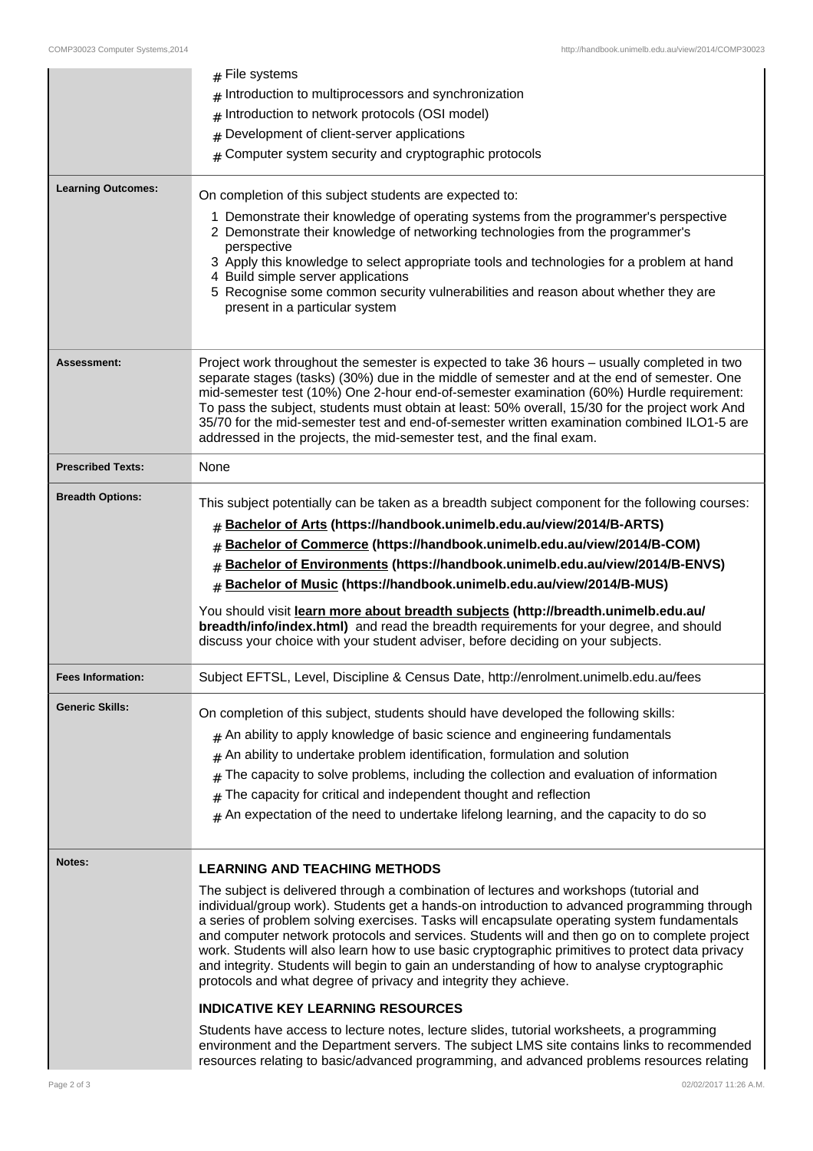|                           | File systems<br>#                                                                                                                                                                                                                                                                                                                                                                                                                                                                                                                                                   |  |
|---------------------------|---------------------------------------------------------------------------------------------------------------------------------------------------------------------------------------------------------------------------------------------------------------------------------------------------------------------------------------------------------------------------------------------------------------------------------------------------------------------------------------------------------------------------------------------------------------------|--|
|                           | Introduction to multiprocessors and synchronization<br>#                                                                                                                                                                                                                                                                                                                                                                                                                                                                                                            |  |
|                           | Introduction to network protocols (OSI model)<br>#                                                                                                                                                                                                                                                                                                                                                                                                                                                                                                                  |  |
|                           | Development of client-server applications<br>#                                                                                                                                                                                                                                                                                                                                                                                                                                                                                                                      |  |
|                           | Computer system security and cryptographic protocols<br>#                                                                                                                                                                                                                                                                                                                                                                                                                                                                                                           |  |
| <b>Learning Outcomes:</b> | On completion of this subject students are expected to:                                                                                                                                                                                                                                                                                                                                                                                                                                                                                                             |  |
|                           |                                                                                                                                                                                                                                                                                                                                                                                                                                                                                                                                                                     |  |
|                           | 1 Demonstrate their knowledge of operating systems from the programmer's perspective<br>2 Demonstrate their knowledge of networking technologies from the programmer's<br>perspective                                                                                                                                                                                                                                                                                                                                                                               |  |
|                           | 3 Apply this knowledge to select appropriate tools and technologies for a problem at hand<br>4 Build simple server applications                                                                                                                                                                                                                                                                                                                                                                                                                                     |  |
|                           | 5 Recognise some common security vulnerabilities and reason about whether they are<br>present in a particular system                                                                                                                                                                                                                                                                                                                                                                                                                                                |  |
|                           |                                                                                                                                                                                                                                                                                                                                                                                                                                                                                                                                                                     |  |
| <b>Assessment:</b>        | Project work throughout the semester is expected to take 36 hours - usually completed in two<br>separate stages (tasks) (30%) due in the middle of semester and at the end of semester. One<br>mid-semester test (10%) One 2-hour end-of-semester examination (60%) Hurdle requirement:<br>To pass the subject, students must obtain at least: 50% overall, 15/30 for the project work And<br>35/70 for the mid-semester test and end-of-semester written examination combined ILO1-5 are<br>addressed in the projects, the mid-semester test, and the final exam.  |  |
| <b>Prescribed Texts:</b>  | None                                                                                                                                                                                                                                                                                                                                                                                                                                                                                                                                                                |  |
| <b>Breadth Options:</b>   | This subject potentially can be taken as a breadth subject component for the following courses:                                                                                                                                                                                                                                                                                                                                                                                                                                                                     |  |
|                           | Bachelor of Arts (https://handbook.unimelb.edu.au/view/2014/B-ARTS)<br>#                                                                                                                                                                                                                                                                                                                                                                                                                                                                                            |  |
|                           | Bachelor of Commerce (https://handbook.unimelb.edu.au/view/2014/B-COM)                                                                                                                                                                                                                                                                                                                                                                                                                                                                                              |  |
|                           | Bachelor of Environments (https://handbook.unimelb.edu.au/view/2014/B-ENVS)<br>#                                                                                                                                                                                                                                                                                                                                                                                                                                                                                    |  |
|                           | Bachelor of Music (https://handbook.unimelb.edu.au/view/2014/B-MUS)<br>#                                                                                                                                                                                                                                                                                                                                                                                                                                                                                            |  |
|                           | You should visit learn more about breadth subjects (http://breadth.unimelb.edu.au/<br>breadth/info/index.html) and read the breadth requirements for your degree, and should<br>discuss your choice with your student adviser, before deciding on your subjects.                                                                                                                                                                                                                                                                                                    |  |
| <b>Fees Information:</b>  | Subject EFTSL, Level, Discipline & Census Date, http://enrolment.unimelb.edu.au/fees                                                                                                                                                                                                                                                                                                                                                                                                                                                                                |  |
| <b>Generic Skills:</b>    | On completion of this subject, students should have developed the following skills:                                                                                                                                                                                                                                                                                                                                                                                                                                                                                 |  |
|                           | $#$ An ability to apply knowledge of basic science and engineering fundamentals                                                                                                                                                                                                                                                                                                                                                                                                                                                                                     |  |
|                           | An ability to undertake problem identification, formulation and solution<br>#                                                                                                                                                                                                                                                                                                                                                                                                                                                                                       |  |
|                           | The capacity to solve problems, including the collection and evaluation of information<br>#                                                                                                                                                                                                                                                                                                                                                                                                                                                                         |  |
|                           | The capacity for critical and independent thought and reflection<br>#                                                                                                                                                                                                                                                                                                                                                                                                                                                                                               |  |
|                           | An expectation of the need to undertake lifelong learning, and the capacity to do so<br>#                                                                                                                                                                                                                                                                                                                                                                                                                                                                           |  |
| Notes:                    | <b>LEARNING AND TEACHING METHODS</b>                                                                                                                                                                                                                                                                                                                                                                                                                                                                                                                                |  |
|                           | The subject is delivered through a combination of lectures and workshops (tutorial and                                                                                                                                                                                                                                                                                                                                                                                                                                                                              |  |
|                           | individual/group work). Students get a hands-on introduction to advanced programming through<br>a series of problem solving exercises. Tasks will encapsulate operating system fundamentals<br>and computer network protocols and services. Students will and then go on to complete project<br>work. Students will also learn how to use basic cryptographic primitives to protect data privacy<br>and integrity. Students will begin to gain an understanding of how to analyse cryptographic<br>protocols and what degree of privacy and integrity they achieve. |  |
|                           | <b>INDICATIVE KEY LEARNING RESOURCES</b>                                                                                                                                                                                                                                                                                                                                                                                                                                                                                                                            |  |
|                           | Students have access to lecture notes, lecture slides, tutorial worksheets, a programming<br>environment and the Department servers. The subject LMS site contains links to recommended                                                                                                                                                                                                                                                                                                                                                                             |  |
|                           | resources relating to basic/advanced programming, and advanced problems resources relating                                                                                                                                                                                                                                                                                                                                                                                                                                                                          |  |